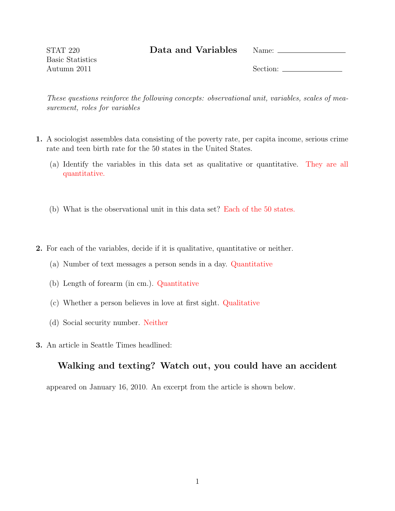Data and Variables Name:

STAT 220 Basic Statistics Autumn 2011

Section:

These questions reinforce the following concepts: observational unit, variables, scales of measurement, roles for variables

- 1. A sociologist assembles data consisting of the poverty rate, per capita income, serious crime rate and teen birth rate for the 50 states in the United States.
	- (a) Identify the variables in this data set as qualitative or quantitative. They are all quantitative.
	- (b) What is the observational unit in this data set? Each of the 50 states.
- 2. For each of the variables, decide if it is qualitative, quantitative or neither.
	- (a) Number of text messages a person sends in a day. Quantitative
	- (b) Length of forearm (in cm.). Quantitative
	- (c) Whether a person believes in love at first sight. Qualitative
	- (d) Social security number. Neither
- 3. An article in Seattle Times headlined:

## Walking and texting? Watch out, you could have an accident

appeared on January 16, 2010. An excerpt from the article is shown below.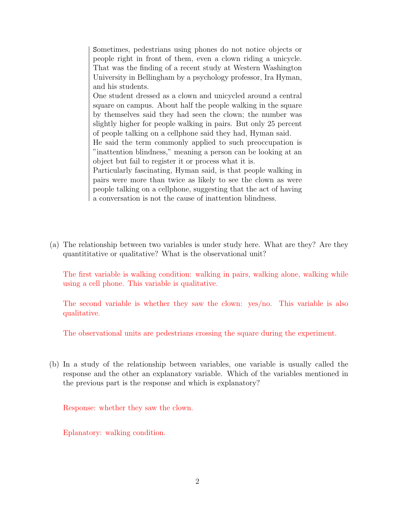Sometimes, pedestrians using phones do not notice objects or people right in front of them, even a clown riding a unicycle. That was the finding of a recent study at Western Washington University in Bellingham by a psychology professor, Ira Hyman, and his students.

One student dressed as a clown and unicycled around a central square on campus. About half the people walking in the square by themselves said they had seen the clown; the number was slightly higher for people walking in pairs. But only 25 percent of people talking on a cellphone said they had, Hyman said.

He said the term commonly applied to such preoccupation is "inattention blindness," meaning a person can be looking at an object but fail to register it or process what it is.

Particularly fascinating, Hyman said, is that people walking in pairs were more than twice as likely to see the clown as were people talking on a cellphone, suggesting that the act of having a conversation is not the cause of inattention blindness.

(a) The relationship between two variables is under study here. What are they? Are they quantititative or qualitative? What is the observational unit?

The first variable is walking condition: walking in pairs, walking alone, walking while using a cell phone. This variable is qualitative.

The second variable is whether they saw the clown: yes/no. This variable is also qualitative.

The observational units are pedestrians crossing the square during the experiment.

(b) In a study of the relationship between variables, one variable is usually called the response and the other an explanatory variable. Which of the variables mentioned in the previous part is the response and which is explanatory?

Response: whether they saw the clown.

Eplanatory: walking condition.